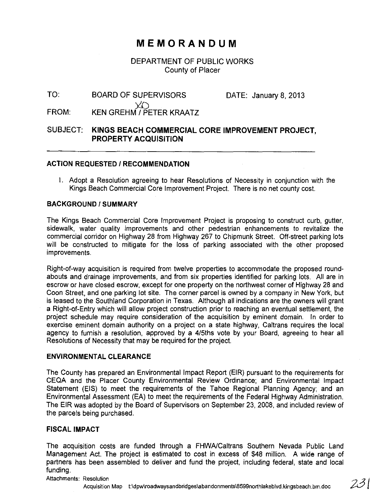# **MEMORANDUM**

DEPARTMENT OF PUBLIC WORKS County of Placer

TO: BOARD OF SUPERVISORS DATE: January 8,2013

FROM:  $X()$ KEN GREHM I PETER KRAATZ

# SUBJECT: **KINGS BEACH COMMERCIAL CORE IMPROVEMENT PROJECT, PROPERTY ACQUISITION**

### **ACTION REQUESTED / RECOMMENDATION**

I. Adopt a Resolution agreeing to hear Resolutions of Necessity in conjunction with the Kings Beach Commercial Core Improvement Project. There is no net county cost.

#### **BACKGROUND/SUMMARY**

The Kings Beach Commercial Core Improvement Project is proposing to construct curb, gutter, sidewalk, water quality improvements and other pedestrian enhancements to revitalize the commercial corridor on Highway 28 from Highway 267 to Chipmunk Street. Off-street parking lots will be constructed to mitigate for the loss of parking associated with the other proposed improvements.

Right-of-way acquisition is required from twelve properties to accommodate the proposed roundabouts and drainage improvements, and from six properties identified for parking lots. All are in escrow or have closed escrow, except for one property on the northwest corner of Highway 28 and Coon Street, and one parking lot site. The corner parcel is owned by a company in New York, but is leased to the Southland Corporation in Texas. Although all indications are the owners will grant a Right-of-Entry which will allow project construction prior to reaching an eventual settlement, the project schedule may require consideration of the acquisition by eminent domain. In order to exercise eminent domain authority on a project on a state highway, Caltrans requires the local agency to furnish a resolution, approved by a 4/5ths vote by your Board, agreeing to hear all Resolutions of Necessity that may be required for the project.

#### **ENVIRONMENTAL CLEARANCE**

The County has prepared an Environmental Impact Report (EIR) pursuant to the requirements for CEQA and the Placer County Environmental Review Ordinance; and Environmental Impact Statement (EIS) to meet the requirements of the Tahoe Regional Planning Agency; and an Environmental Assessment (EA) to meet the requirements of the Federal Highway Administration. The EIR was adopted by the Board of Supervisors on September 23, 2008, and included review of the parcels being purchased.

# **FISCAL IMPACT**

The acquisition costs are funded through a FHWA/Caltrans Southern Nevada Public Land Management Act. The project is estimated to cost in excess of \$48 million. A wide range of partners has been assembled to deliver and fund the project, including federal, state and local funding.

#### Attachments: Resolution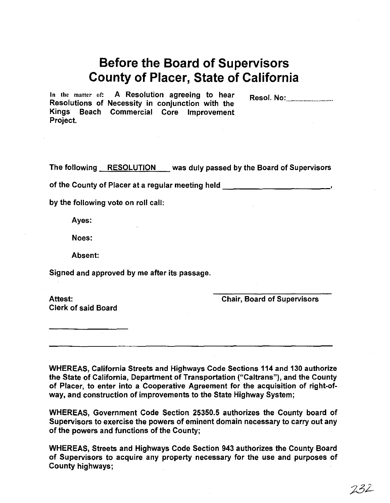# **Before the Board of Supervisors County of Placer, State of California**

In the matter of: A Resolution agreeing to hear Resolutions of Necessity in conjunction with the Kings Beach Commercial Core Improvement Project. Resol. No: .................................. .

The following RESOLUTION was duly passed by the Board of Supervisors

of the County of Placer at a regular meeting held \_\_\_\_\_\_\_\_\_\_\_\_\_\_\_\_\_\_\_\_\_\_\_\_\_\_\_\_\_\_

by the following vote on roll call:

Ayes:

Noes:

Absent:

Signed and approved by me after its passage.

Clerk of said Board

Attest: Chair, Board of Supervisors

WHEREAS, California Streets and Highways Code Sections 114 and 130 authorize the State of California, Department of Transportation ("Caltrans"), and the County of Placer, to enter into a Cooperative Agreement for the acquisition of right-ofway, and construction of improvements to the State Highway System;

WHEREAS, Government Code Section 25350.5 authorizes the County board of Supervisors to exercise the powers of eminent domain necessary to carry out any of the powers and functions of the County;

WHEREAS, Streets and Highways Code Section 943 authorizes the County Board of Supervisors to acquire any property necessary for the use and purposes of County highways;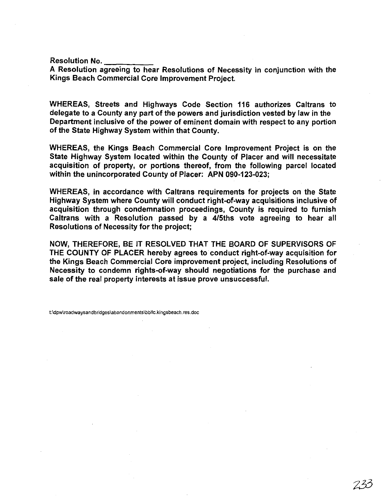Resolution No.

A Resolution agreeing to hear Resolutions of Necessity in conjunction with the Kings Beach Commercial Core Improvement Project.

WHEREAS, Streets and Highways Code Section 116 authorizes Caltrans to delegate to a County any part of the powers and jurisdiction vested by law in the Department inclusive of the power of eminent domain with respect to any portion of the State Highway System within that County.

WHEREAS, the Kings Beach Commercial Core Improvement Project is on the State Highway System located within the County of Placer and will necessitate acquisition of property, or portions thereof, from the following parcel located within the unincorporated County of Placer: APN 090-123-023;

WHEREAS, in accordance with Caltrans requirements for projects on the State Highway System where County will conduct right-of-way acquisitions inclusive of acquisition through condemnation proceedings, County is required to furnish Caltrans with a Resolution passed by a 4/5ths vote agreeing to hear all Resolutions of Necessity for the project;

NOW, THEREFORE, BE IT RESOLVED THAT THE BOARD OF SUPERVISORS OF THE COUNTY OF PLACER hereby agrees to conduct right-of-way acquisition for the Kings Beach Commercial Core improvement project, including Resolutions of Necessity to condemn rights-of-way should negotiations for the purchase and sale of the real property interests at issue prove unsuccessful.

t\dpw\roadwaysandbridges\abandonments\bbllc.kingsbeach.reS.doc